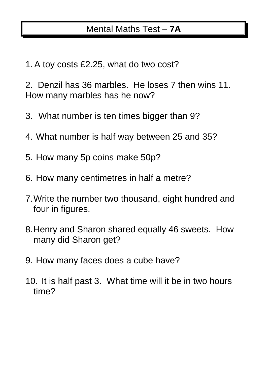## Mental Maths Test – **7A**

1. A toy costs £2.25, what do two cost?

2. Denzil has 36 marbles. He loses 7 then wins 11. How many marbles has he now?

- 3. What number is ten times bigger than 9?
- 4. What number is half way between 25 and 35?
- 5. How many 5p coins make 50p?
- 6. How many centimetres in half a metre?
- 7.Write the number two thousand, eight hundred and four in figures.
- 8.Henry and Sharon shared equally 46 sweets. How many did Sharon get?
- 9. How many faces does a cube have?
- 10. It is half past 3. What time will it be in two hours time?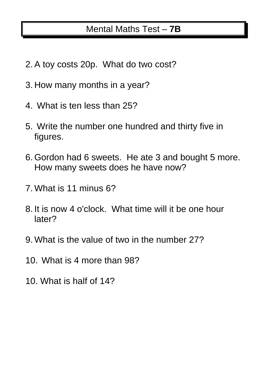## Mental Maths Test – **7B**

- 2. A toy costs 20p. What do two cost?
- 3. How many months in a year?
- 4. What is ten less than 25?
- 5. Write the number one hundred and thirty five in figures.
- 6. Gordon had 6 sweets. He ate 3 and bought 5 more. How many sweets does he have now?
- 7. What is 11 minus 6?
- 8. It is now 4 o'clock. What time will it be one hour later?
- 9. What is the value of two in the number 27?
- 10. What is 4 more than 98?
- 10. What is half of 14?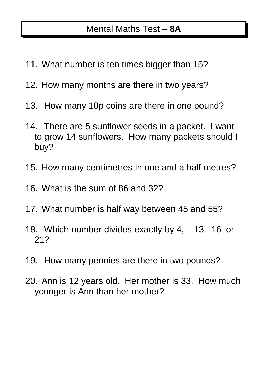## Mental Maths Test – **8A**

- 11. What number is ten times bigger than 15?
- 12. How many months are there in two years?
- 13. How many 10p coins are there in one pound?
- 14. There are 5 sunflower seeds in a packet. I want to grow 14 sunflowers. How many packets should I buy?
- 15. How many centimetres in one and a half metres?
- 16. What is the sum of 86 and 32?
- 17. What number is half way between 45 and 55?
- 18. Which number divides exactly by 4, 13 16 or 21?
- 19. How many pennies are there in two pounds?
- 20. Ann is 12 years old. Her mother is 33. How much younger is Ann than her mother?